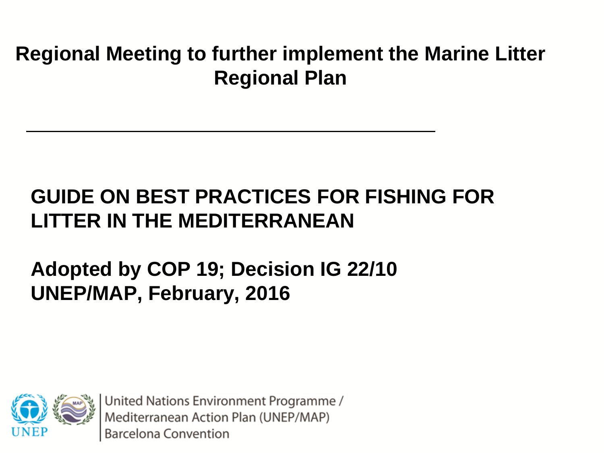#### **Regional Meeting to further implement the Marine Litter Regional Plan**

#### **GUIDE ON BEST PRACTICES FOR FISHING FOR LITTER IN THE MEDITERRANEAN**

#### **Adopted by COP 19; Decision IG 22/10 UNEP/MAP, February, 2016**

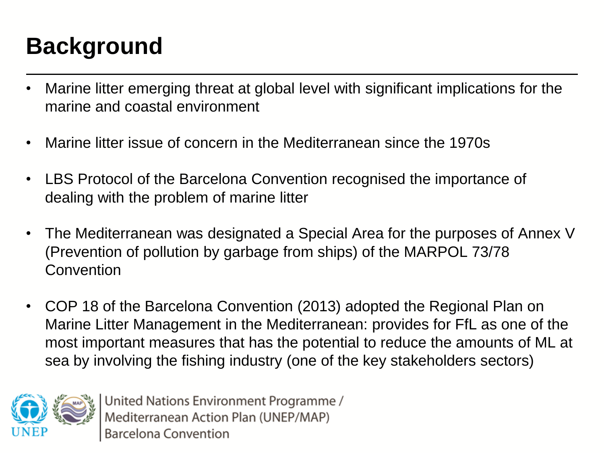### **Background**

- Marine litter emerging threat at global level with significant implications for the marine and coastal environment
- Marine litter issue of concern in the Mediterranean since the 1970s
- LBS Protocol of the Barcelona Convention recognised the importance of dealing with the problem of marine litter
- The Mediterranean was designated a Special Area for the purposes of Annex V (Prevention of pollution by garbage from ships) of the MARPOL 73/78 **Convention**
- COP 18 of the Barcelona Convention (2013) adopted the Regional Plan on Marine Litter Management in the Mediterranean: provides for FfL as one of the most important measures that has the potential to reduce the amounts of ML at sea by involving the fishing industry (one of the key stakeholders sectors)

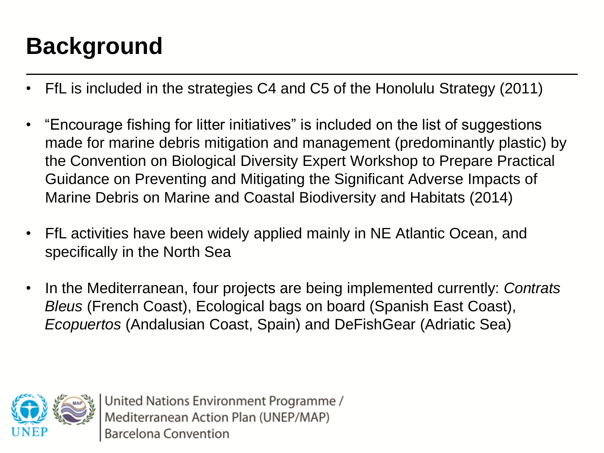### **Background**

- FfL is included in the strategies C4 and C5 of the Honolulu Strategy (2011)
- "Encourage fishing for litter initiatives" is included on the list of suggestions made for marine debris mitigation and management (predominantly plastic) by the Convention on Biological Diversity Expert Workshop to Prepare Practical Guidance on Preventing and Mitigating the Significant Adverse Impacts of Marine Debris on Marine and Coastal Biodiversity and Habitats (2014)
- FfL activities have been widely applied mainly in NE Atlantic Ocean, and specifically in the North Sea
- In the Mediterranean, four projects are being implemented currently: *Contrats Bleus* (French Coast), Ecological bags on board (Spanish East Coast), *Ecopuertos* (Andalusian Coast, Spain) and DeFishGear (Adriatic Sea)

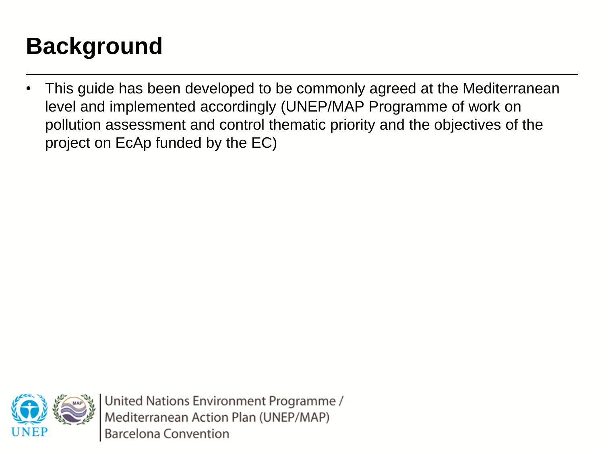#### **Background**

• This guide has been developed to be commonly agreed at the Mediterranean level and implemented accordingly (UNEP/MAP Programme of work on pollution assessment and control thematic priority and the objectives of the project on EcAp funded by the EC)

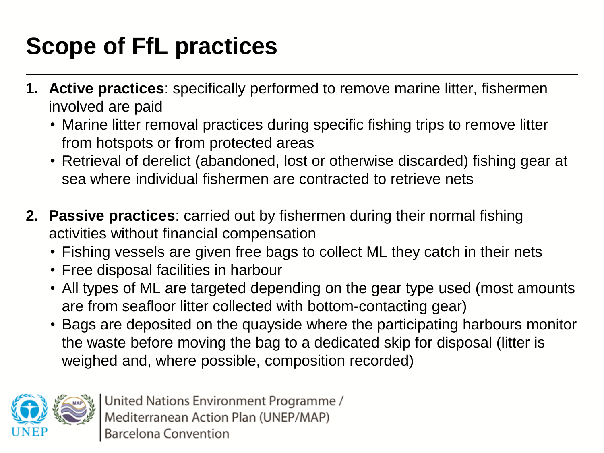## **Scope of FfL practices**

- **1. Active practices**: specifically performed to remove marine litter, fishermen involved are paid
	- Marine litter removal practices during specific fishing trips to remove litter from hotspots or from protected areas
	- Retrieval of derelict (abandoned, lost or otherwise discarded) fishing gear at sea where individual fishermen are contracted to retrieve nets
- **2. Passive practices**: carried out by fishermen during their normal fishing activities without financial compensation
	- Fishing vessels are given free bags to collect ML they catch in their nets
	- Free disposal facilities in harbour
	- All types of ML are targeted depending on the gear type used (most amounts are from seafloor litter collected with bottom-contacting gear)
	- Bags are deposited on the quayside where the participating harbours monitor the waste before moving the bag to a dedicated skip for disposal (litter is weighed and, where possible, composition recorded)

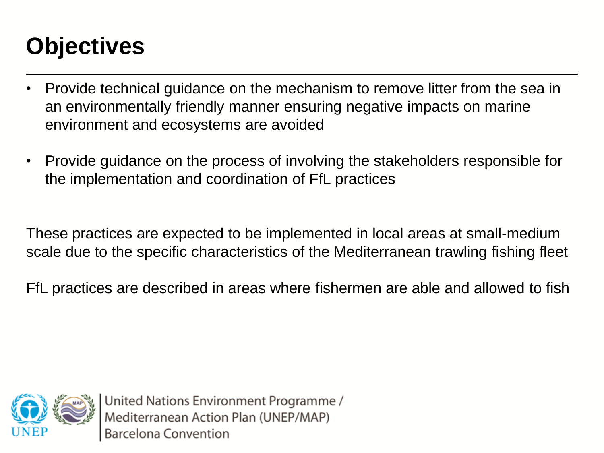### **Objectives**

- Provide technical guidance on the mechanism to remove litter from the sea in an environmentally friendly manner ensuring negative impacts on marine environment and ecosystems are avoided
- Provide guidance on the process of involving the stakeholders responsible for the implementation and coordination of FfL practices

These practices are expected to be implemented in local areas at small-medium scale due to the specific characteristics of the Mediterranean trawling fishing fleet

FfL practices are described in areas where fishermen are able and allowed to fish

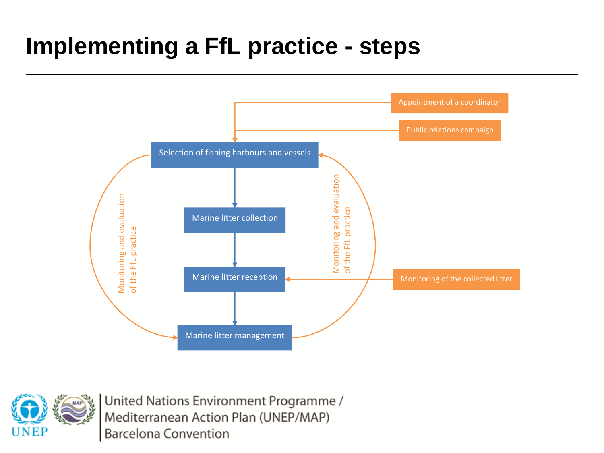#### **Implementing a FfL practice - steps**



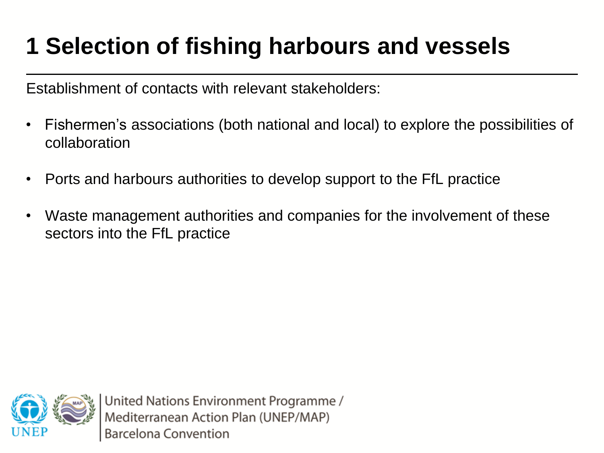# **1 Selection of fishing harbours and vessels**

Establishment of contacts with relevant stakeholders:

- Fishermen's associations (both national and local) to explore the possibilities of collaboration
- Ports and harbours authorities to develop support to the FfL practice
- Waste management authorities and companies for the involvement of these sectors into the FfL practice

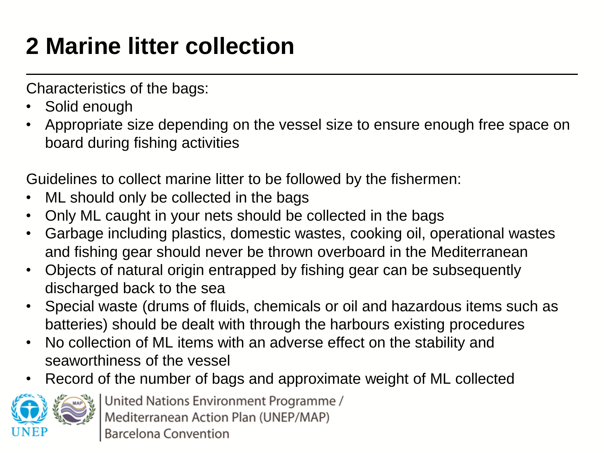# **2 Marine litter collection**

Characteristics of the bags:

- Solid enough
- Appropriate size depending on the vessel size to ensure enough free space on board during fishing activities

Guidelines to collect marine litter to be followed by the fishermen:

- ML should only be collected in the bags
- Only ML caught in your nets should be collected in the bags
- Garbage including plastics, domestic wastes, cooking oil, operational wastes and fishing gear should never be thrown overboard in the Mediterranean
- Objects of natural origin entrapped by fishing gear can be subsequently discharged back to the sea
- Special waste (drums of fluids, chemicals or oil and hazardous items such as batteries) should be dealt with through the harbours existing procedures
- No collection of ML items with an adverse effect on the stability and seaworthiness of the vessel
- Record of the number of bags and approximate weight of ML collected

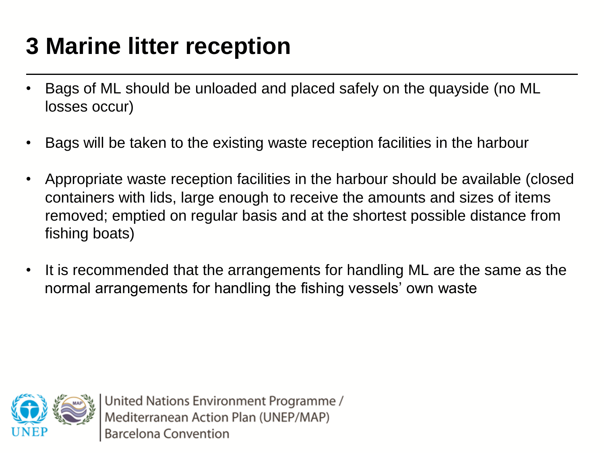# **3 Marine litter reception**

- Bags of ML should be unloaded and placed safely on the quayside (no ML losses occur)
- Bags will be taken to the existing waste reception facilities in the harbour
- Appropriate waste reception facilities in the harbour should be available (closed containers with lids, large enough to receive the amounts and sizes of items removed; emptied on regular basis and at the shortest possible distance from fishing boats)
- It is recommended that the arrangements for handling ML are the same as the normal arrangements for handling the fishing vessels' own waste

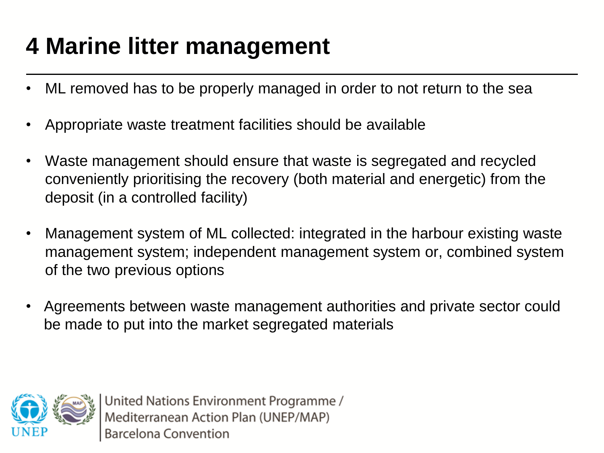## **4 Marine litter management**

- ML removed has to be properly managed in order to not return to the sea
- Appropriate waste treatment facilities should be available
- Waste management should ensure that waste is segregated and recycled conveniently prioritising the recovery (both material and energetic) from the deposit (in a controlled facility)
- Management system of ML collected: integrated in the harbour existing waste management system; independent management system or, combined system of the two previous options
- Agreements between waste management authorities and private sector could be made to put into the market segregated materials

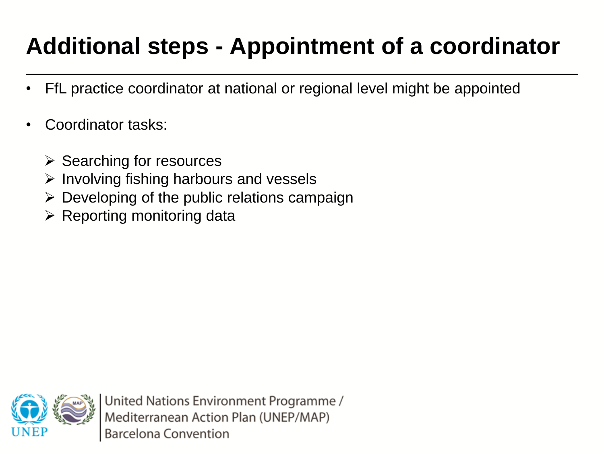# **Additional steps - Appointment of a coordinator**

- FfL practice coordinator at national or regional level might be appointed
- Coordinator tasks:
	- $\triangleright$  Searching for resources
	- $\triangleright$  Involving fishing harbours and vessels
	- $\triangleright$  Developing of the public relations campaign
	- $\triangleright$  Reporting monitoring data

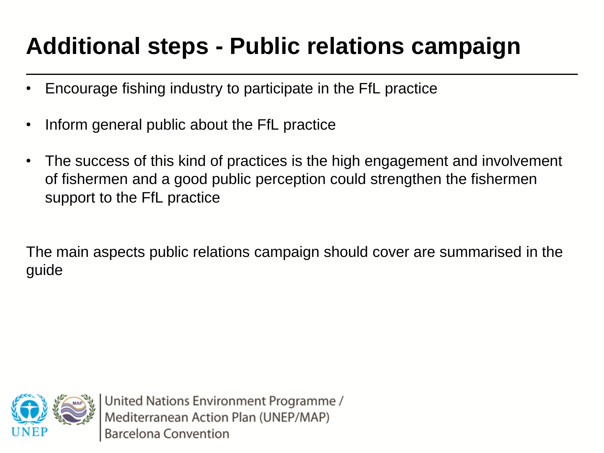### **Additional steps - Public relations campaign**

- Encourage fishing industry to participate in the FfL practice
- Inform general public about the FfL practice
- The success of this kind of practices is the high engagement and involvement of fishermen and a good public perception could strengthen the fishermen support to the FfL practice

The main aspects public relations campaign should cover are summarised in the guide

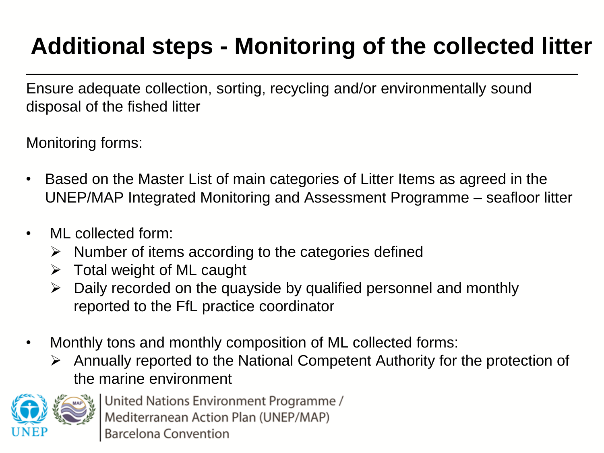# **Additional steps - Monitoring of the collected litter**

Ensure adequate collection, sorting, recycling and/or environmentally sound disposal of the fished litter

Monitoring forms:

- Based on the Master List of main categories of Litter Items as agreed in the UNEP/MAP Integrated Monitoring and Assessment Programme – seafloor litter
- ML collected form:
	- $\triangleright$  Number of items according to the categories defined
	- $\triangleright$  Total weight of ML caught
	- $\triangleright$  Daily recorded on the quayside by qualified personnel and monthly reported to the FfL practice coordinator
- Monthly tons and monthly composition of ML collected forms:
	- $\triangleright$  Annually reported to the National Competent Authority for the protection of the marine environment

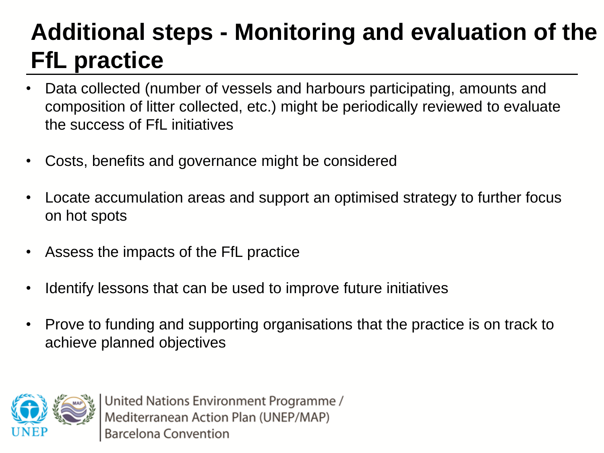# **Additional steps - Monitoring and evaluation of the FfL practice**

- Data collected (number of vessels and harbours participating, amounts and composition of litter collected, etc.) might be periodically reviewed to evaluate the success of FfL initiatives
- Costs, benefits and governance might be considered
- Locate accumulation areas and support an optimised strategy to further focus on hot spots
- Assess the impacts of the FfL practice
- Identify lessons that can be used to improve future initiatives
- Prove to funding and supporting organisations that the practice is on track to achieve planned objectives

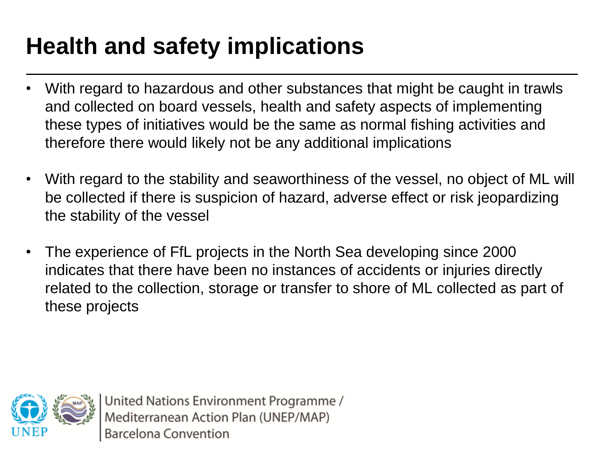# **Health and safety implications**

- With regard to hazardous and other substances that might be caught in trawls and collected on board vessels, health and safety aspects of implementing these types of initiatives would be the same as normal fishing activities and therefore there would likely not be any additional implications
- With regard to the stability and seaworthiness of the vessel, no object of ML will be collected if there is suspicion of hazard, adverse effect or risk jeopardizing the stability of the vessel
- The experience of FfL projects in the North Sea developing since 2000 indicates that there have been no instances of accidents or injuries directly related to the collection, storage or transfer to shore of ML collected as part of these projects

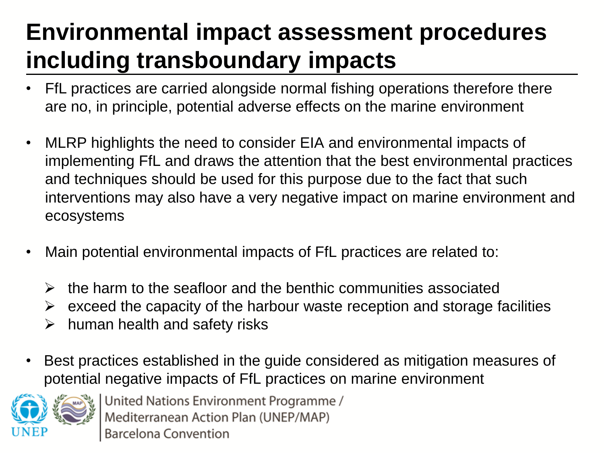# **Environmental impact assessment procedures including transboundary impacts**

- FfL practices are carried alongside normal fishing operations therefore there are no, in principle, potential adverse effects on the marine environment
- MLRP highlights the need to consider EIA and environmental impacts of implementing FfL and draws the attention that the best environmental practices and techniques should be used for this purpose due to the fact that such interventions may also have a very negative impact on marine environment and ecosystems
- Main potential environmental impacts of FfL practices are related to:
	- $\triangleright$  the harm to the seafloor and the benthic communities associated
	- $\triangleright$  exceed the capacity of the harbour waste reception and storage facilities
	- $\triangleright$  human health and safety risks
- Best practices established in the guide considered as mitigation measures of potential negative impacts of FfL practices on marine environment